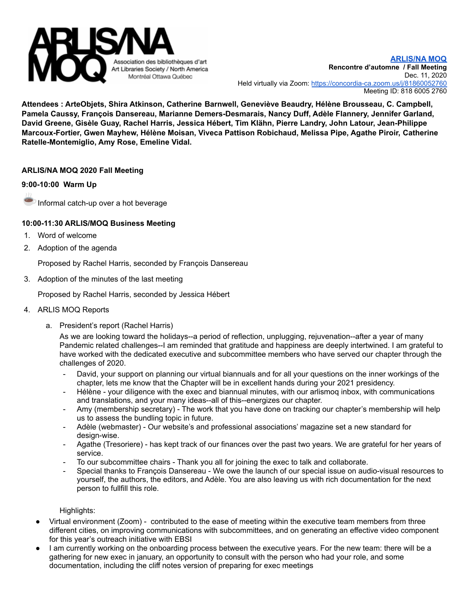

**Attendees : ArteObjets, Shira Atkinson, Catherine Barnwell, Geneviève Beaudry, Hélène Brousseau, C. Campbell, Pamela Caussy, François Dansereau, Marianne Demers-Desmarais, Nancy Duff, Adèle Flannery, Jennifer Garland, David Greene, Gisèle Guay, Rachel Harris, Jessica Hébert, Tim Klähn, Pierre Landry, John Latour, Jean-Philippe Marcoux-Fortier, Gwen Mayhew, Hélène Moisan, Viveca Pattison Robichaud, Melissa Pipe, Agathe Piroir, Catherine Ratelle-Montemiglio, Amy Rose, Emeline Vidal.**

# **ARLIS/NA MOQ 2020 Fall Meeting**

## **9:00-10:00 Warm Up**



Informal catch-up over a hot beverage

## **10:00-11:30 ARLIS/MOQ Business Meeting**

- 1. Word of welcome
- 2. Adoption of the agenda

Proposed by Rachel Harris, seconded by François Dansereau

3. Adoption of the minutes of the last meeting

Proposed by Rachel Harris, seconded by Jessica Hébert

- 4. ARLIS MOQ Reports
	- a. President's report (Rachel Harris)

As we are looking toward the holidays--a period of reflection, unplugging, rejuvenation--after a year of many Pandemic related challenges--I am reminded that gratitude and happiness are deeply intertwined. I am grateful to have worked with the dedicated executive and subcommittee members who have served our chapter through the challenges of 2020.

- David, your support on planning our virtual biannuals and for all your questions on the inner workings of the chapter, lets me know that the Chapter will be in excellent hands during your 2021 presidency.
- Hélène your diligence with the exec and biannual minutes, with our arlismoq inbox, with communications and translations, and your many ideas--all of this--energizes our chapter.
- Amy (membership secretary) The work that you have done on tracking our chapter's membership will help us to assess the bundling topic in future.
- Adèle (webmaster) Our website's and professional associations' magazine set a new standard for design-wise.
- Agathe (Tresoriere) has kept track of our finances over the past two years. We are grateful for her years of service.
- To our subcommittee chairs Thank you all for joining the exec to talk and collaborate.
- Special thanks to François Dansereau We owe the launch of our special issue on audio-visual resources to yourself, the authors, the editors, and Adèle. You are also leaving us with rich documentation for the next person to fullfill this role.

Highlights:

- Virtual environment (Zoom) contributed to the ease of meeting within the executive team members from three different cities, on improving communications with subcommittees, and on generating an effective video component for this year's outreach initiative with EBSI
- I am currently working on the onboarding process between the executive years. For the new team: there will be a gathering for new exec in january, an opportunity to consult with the person who had your role, and some documentation, including the cliff notes version of preparing for exec meetings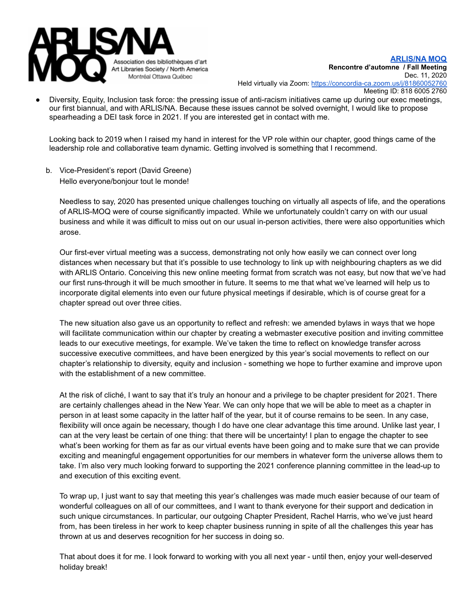

Diversity, Equity, Inclusion task force: the pressing issue of anti-racism initiatives came up during our exec meetings, our first biannual, and with ARLIS/NA. Because these issues cannot be solved overnight, I would like to propose spearheading a DEI task force in 2021. If you are interested get in contact with me.

Looking back to 2019 when I raised my hand in interest for the VP role within our chapter, good things came of the leadership role and collaborative team dynamic. Getting involved is something that I recommend.

b. Vice-President's report (David Greene) Hello everyone/bonjour tout le monde!

Needless to say, 2020 has presented unique challenges touching on virtually all aspects of life, and the operations of ARLIS-MOQ were of course significantly impacted. While we unfortunately couldn't carry on with our usual business and while it was difficult to miss out on our usual in-person activities, there were also opportunities which arose.

Our first-ever virtual meeting was a success, demonstrating not only how easily we can connect over long distances when necessary but that it's possible to use technology to link up with neighbouring chapters as we did with ARLIS Ontario. Conceiving this new online meeting format from scratch was not easy, but now that we've had our first runs-through it will be much smoother in future. It seems to me that what we've learned will help us to incorporate digital elements into even our future physical meetings if desirable, which is of course great for a chapter spread out over three cities.

The new situation also gave us an opportunity to reflect and refresh: we amended bylaws in ways that we hope will facilitate communication within our chapter by creating a webmaster executive position and inviting committee leads to our executive meetings, for example. We've taken the time to reflect on knowledge transfer across successive executive committees, and have been energized by this year's social movements to reflect on our chapter's relationship to diversity, equity and inclusion - something we hope to further examine and improve upon with the establishment of a new committee.

At the risk of cliché, I want to say that it's truly an honour and a privilege to be chapter president for 2021. There are certainly challenges ahead in the New Year. We can only hope that we will be able to meet as a chapter in person in at least some capacity in the latter half of the year, but it of course remains to be seen. In any case, flexibility will once again be necessary, though I do have one clear advantage this time around. Unlike last year, I can at the very least be certain of one thing: that there will be uncertainty! I plan to engage the chapter to see what's been working for them as far as our virtual events have been going and to make sure that we can provide exciting and meaningful engagement opportunities for our members in whatever form the universe allows them to take. I'm also very much looking forward to supporting the 2021 conference planning committee in the lead-up to and execution of this exciting event.

To wrap up, I just want to say that meeting this year's challenges was made much easier because of our team of wonderful colleagues on all of our committees, and I want to thank everyone for their support and dedication in such unique circumstances. In particular, our outgoing Chapter President, Rachel Harris, who we've just heard from, has been tireless in her work to keep chapter business running in spite of all the challenges this year has thrown at us and deserves recognition for her success in doing so.

That about does it for me. I look forward to working with you all next year - until then, enjoy your well-deserved holiday break!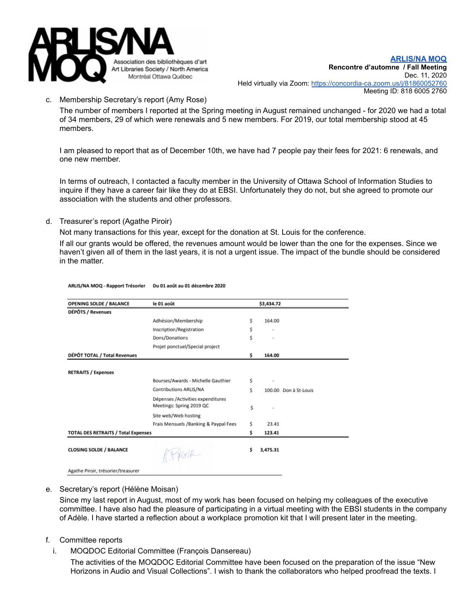

## c. Membership Secretary's report (Amy Rose)

The number of members I reported at the Spring meeting in August remained unchanged - for 2020 we had a total of 34 members, 29 of which were renewals and 5 new members. For 2019, our total membership stood at 45 members.

I am pleased to report that as of December 10th, we have had 7 people pay their fees for 2021: 6 renewals, and one new member.

In terms of outreach, I contacted a faculty member in the University of Ottawa School of Information Studies to inquire if they have a career fair like they do at EBSI. Unfortunately they do not, but she agreed to promote our association with the students and other professors.

d. Treasurer's report (Agathe Piroir)

Not many transactions for this year, except for the donation at St. Louis for the conference.

If all our grants would be offered, the revenues amount would be lower than the one for the expenses. Since we haven't given all of them in the last years, it is not a urgent issue. The impact of the bundle should be considered in the matter.

| <b>OPENING SOLDE / BALANCE</b>             | le 01 août                                                    |    | \$3,434.72 |                       |
|--------------------------------------------|---------------------------------------------------------------|----|------------|-----------------------|
| DÉPÔTS / Revenues                          |                                                               |    |            |                       |
|                                            | Adhésion/Membership                                           | \$ | 164.00     |                       |
|                                            | Inscription/Registration                                      | \$ |            |                       |
|                                            | Dons/Donations                                                | \$ |            |                       |
|                                            | Projet ponctuel/Special project                               |    |            |                       |
| DÉPÔT TOTAL / Total Revenues               |                                                               | \$ | 164.00     |                       |
|                                            |                                                               |    |            |                       |
| <b>RETRAITS / Expenses</b>                 |                                                               |    |            |                       |
|                                            | Bourses/Awards - Michelle Gauthier                            | \$ |            |                       |
|                                            | Contributions ARLIS/NA                                        | Ś  |            | 100.00 Don à St-Louis |
|                                            | Dépenses /Activities expenditures<br>Meetings: Spring 2019 QC | \$ |            |                       |
|                                            | Site web/Web hosting                                          |    |            |                       |
|                                            | Frais Mensuels /Banking & Paypal Fees                         | \$ | 23.41      |                       |
| <b>TOTAL DES RETRAITS / Total Expenses</b> |                                                               | \$ | 123.41     |                       |
|                                            |                                                               |    |            |                       |
| <b>CLOSING SOLDE / BALANCE</b>             | 4. Preside                                                    | Ś. | 3,475.31   |                       |
| Agathe Piroir, trésorier/treasurer         |                                                               |    |            |                       |

#### ARLIS/NA MOQ - Rapport Trésorier Du 01 août au 01 décembre 2020

e. Secretary's report (Hélène Moisan)

Since my last report in August, most of my work has been focused on helping my colleagues of the executive committee. I have also had the pleasure of participating in a virtual meeting with the EBSI students in the company of Adèle. I have started a reflection about a workplace promotion kit that I will present later in the meeting.

- f. Committee reports
	- i. MOQDOC Editorial Committee (François Dansereau)

The activities of the MOQDOC Editorial Committee have been focused on the preparation of the issue "New Horizons in Audio and Visual Collections". I wish to thank the collaborators who helped proofread the texts. I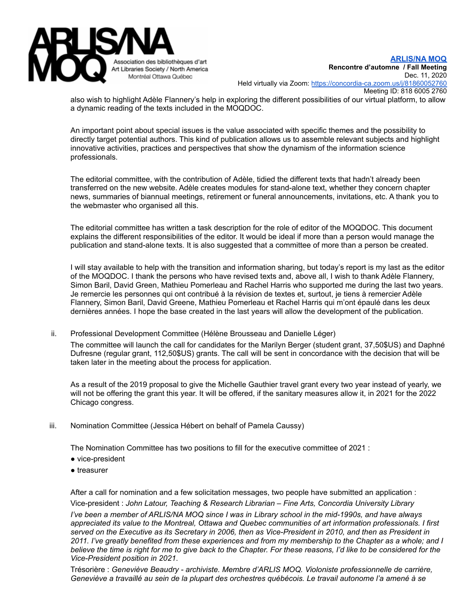

also wish to highlight Adèle Flannery's help in exploring the different possibilities of our virtual platform, to allow a dynamic reading of the texts included in the MOQDOC.

An important point about special issues is the value associated with specific themes and the possibility to directly target potential authors. This kind of publication allows us to assemble relevant subjects and highlight innovative activities, practices and perspectives that show the dynamism of the information science professionals.

The editorial committee, with the contribution of Adèle, tidied the different texts that hadn't already been transferred on the new website. Adèle creates modules for stand-alone text, whether they concern chapter news, summaries of biannual meetings, retirement or funeral announcements, invitations, etc. A thank you to the webmaster who organised all this.

The editorial committee has written a task description for the role of editor of the MOQDOC. This document explains the different responsibilities of the editor. It would be ideal if more than a person would manage the publication and stand-alone texts. It is also suggested that a committee of more than a person be created.

I will stay available to help with the transition and information sharing, but today's report is my last as the editor of the MOQDOC. I thank the persons who have revised texts and, above all, I wish to thank Adèle Flannery, Simon Baril, David Green, Mathieu Pomerleau and Rachel Harris who supported me during the last two years. Je remercie les personnes qui ont contribué à la révision de textes et, surtout, je tiens à remercier Adèle Flannery, Simon Baril, David Greene, Mathieu Pomerleau et Rachel Harris qui m'ont épaulé dans les deux dernières années. I hope the base created in the last years will allow the development of the publication.

ii. Professional Development Committee (Hélène Brousseau and Danielle Léger)

The committee will launch the call for candidates for the Marilyn Berger (student grant, 37,50\$US) and Daphné Dufresne (regular grant, 112,50\$US) grants. The call will be sent in concordance with the decision that will be taken later in the meeting about the process for application.

As a result of the 2019 proposal to give the Michelle Gauthier travel grant every two year instead of yearly, we will not be offering the grant this year. It will be offered, if the sanitary measures allow it, in 2021 for the 2022 Chicago congress.

iii. Nomination Committee (Jessica Hébert on behalf of Pamela Caussy)

The Nomination Committee has two positions to fill for the executive committee of 2021 :

- vice-president
- treasurer

After a call for nomination and a few solicitation messages, two people have submitted an application : Vice-president : *John Latour, Teaching & Research Librarian – Fine Arts, Concordia University Library* I've been a member of ARLIS/NA MOQ since I was in Library school in the mid-1990s, and have always *appreciated its value to the Montreal, Ottawa and Quebec communities of art information professionals. I first* served on the Executive as its Secretary in 2006, then as Vice-President in 2010, and then as President in 2011. I've greatly benefited from these experiences and from my membership to the Chapter as a whole; and I believe the time is right for me to give back to the Chapter. For these reasons, I'd like to be considered for the *Vice-President position in 2021*.

Trésorière : *Geneviève Beaudry - archiviste. Membre d'ARLIS MOQ. Violoniste professionnelle de carrière,* Geneviève a travaillé au sein de la plupart des orchestres québécois. Le travail autonome l'a amené à se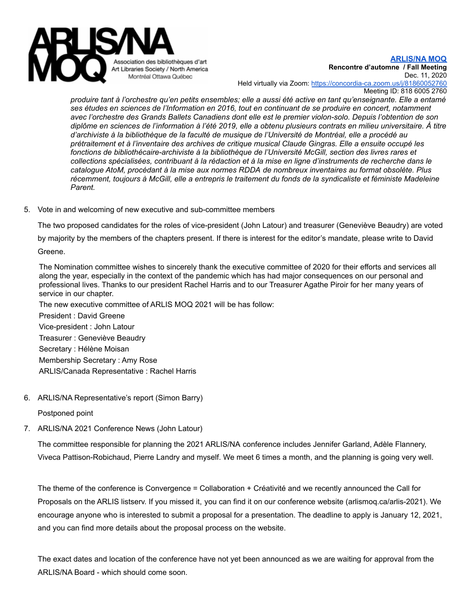

**[ARLIS/NA](http://www.arlismoq.ca) MOQ Rencontre d'automne / Fall Meeting**

Dec. 11, 2020

Held virtually via Zoom: <https://concordia-ca.zoom.us/j/81860052760> Meeting ID: 818 6005 2760

produire tant à l'orchestre qu'en petits ensembles; elle a aussi été active en tant qu'enseignante. Elle a entamé *ses études en sciences de l'Information en 2016, tout en continuant de se produire en concert, notamment avec l'orchestre des Grands Ballets Canadiens dont elle est le premier violon-solo. Depuis l'obtention de son* diplôme en sciences de l'information à l'été 2019, elle a obtenu plusieurs contrats en milieu universitaire. À titre *d'archiviste à la bibliothèque de la faculté de musique de l'Université de Montréal, elle a procédé au prétraitement et à l'inventaire des archives de critique musical Claude Gingras. Elle a ensuite occupé les fonctions de bibliothécaire-archiviste à la bibliothèque de l'Université McGill, section des livres rares et* collections spécialisées, contribuant à la rédaction et à la mise en ligne d'instruments de recherche dans le *catalogue AtoM, procédant à la mise aux normes RDDA de nombreux inventaires au format obsolète. Plus* récemment, toujours à McGill, elle a entrepris le traitement du fonds de la syndicaliste et féministe Madeleine *Parent.*

5. Vote in and welcoming of new executive and sub-committee members

The two proposed candidates for the roles of vice-president (John Latour) and treasurer (Geneviève Beaudry) are voted

by majority by the members of the chapters present. If there is interest for the editor's mandate, please write to David

Greene.

The Nomination committee wishes to sincerely thank the executive committee of 2020 for their efforts and services all along the year, especially in the context of the pandemic which has had major consequences on our personal and professional lives. Thanks to our president Rachel Harris and to our Treasurer Agathe Piroir for her many years of service in our chapter.

The new executive committee of ARLIS MOQ 2021 will be has follow: President : David Greene Vice-president : John Latour Treasurer : Geneviève Beaudry Secretary : Hélène Moisan Membership Secretary : Amy Rose ARLIS/Canada Representative : Rachel Harris

6. ARLIS/NA Representative's report (Simon Barry)

Postponed point

7. ARLIS/NA 2021 Conference News (John Latour)

The committee responsible for planning the 2021 ARLIS/NA conference includes Jennifer Garland, Adèle Flannery, Viveca Pattison-Robichaud, Pierre Landry and myself. We meet 6 times a month, and the planning is going very well.

The theme of the conference is Convergence = Collaboration + Créativité and we recently announced the Call for Proposals on the ARLIS listserv. If you missed it, you can find it on our conference website (arlismoq.ca/arlis-2021). We encourage anyone who is interested to submit a proposal for a presentation. The deadline to apply is January 12, 2021, and you can find more details about the proposal process on the website.

The exact dates and location of the conference have not yet been announced as we are waiting for approval from the ARLIS/NA Board - which should come soon.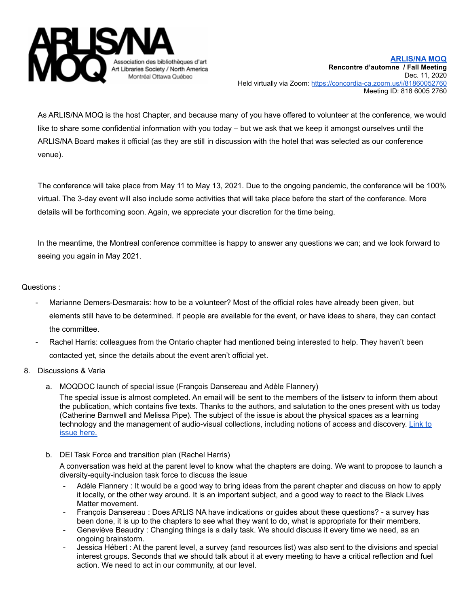

As ARLIS/NA MOQ is the host Chapter, and because many of you have offered to volunteer at the conference, we would like to share some confidential information with you today – but we ask that we keep it amongst ourselves until the ARLIS/NA Board makes it official (as they are still in discussion with the hotel that was selected as our conference venue).

The conference will take place from May 11 to May 13, 2021. Due to the ongoing pandemic, the conference will be 100% virtual. The 3-day event will also include some activities that will take place before the start of the conference. More details will be forthcoming soon. Again, we appreciate your discretion for the time being.

In the meantime, the Montreal conference committee is happy to answer any questions we can; and we look forward to seeing you again in May 2021.

## Questions :

- Marianne Demers-Desmarais: how to be a volunteer? Most of the official roles have already been given, but elements still have to be determined. If people are available for the event, or have ideas to share, they can contact the committee.
- Rachel Harris: colleagues from the Ontario chapter had mentioned being interested to help. They haven't been contacted yet, since the details about the event aren't official yet.
- 8. Discussions & Varia
	- a. MOQDOC launch of special issue (François Dansereau and Adèle Flannery)

The special issue is almost completed. An email will be sent to the members of the listserv to inform them about the publication, which contains five texts. Thanks to the authors, and salutation to the ones present with us today (Catherine Barnwell and Melissa Pipe). The subject of the issue is about the physical spaces as a learning technology and the management of audio-visual collections, including notions of access and discovery. [Link](http://moqdoc.arlismoq.ca/2020_encounters_rencontres/) to [issue](http://moqdoc.arlismoq.ca/2020_encounters_rencontres/) here.

b. DEI Task Force and transition plan (Rachel Harris)

A conversation was held at the parent level to know what the chapters are doing. We want to propose to launch a diversity-equity-inclusion task force to discuss the issue

- Adèle Flannery : It would be a good way to bring ideas from the parent chapter and discuss on how to apply it locally, or the other way around. It is an important subject, and a good way to react to the Black Lives Matter movement.
- François Dansereau : Does ARLIS NA have indications or guides about these questions? a survey has been done, it is up to the chapters to see what they want to do, what is appropriate for their members.
- Geneviève Beaudry : Changing things is a daily task. We should discuss it every time we need, as an ongoing brainstorm.
- Jessica Hébert : At the parent level, a survey (and resources list) was also sent to the divisions and special interest groups. Seconds that we should talk about it at every meeting to have a critical reflection and fuel action. We need to act in our community, at our level.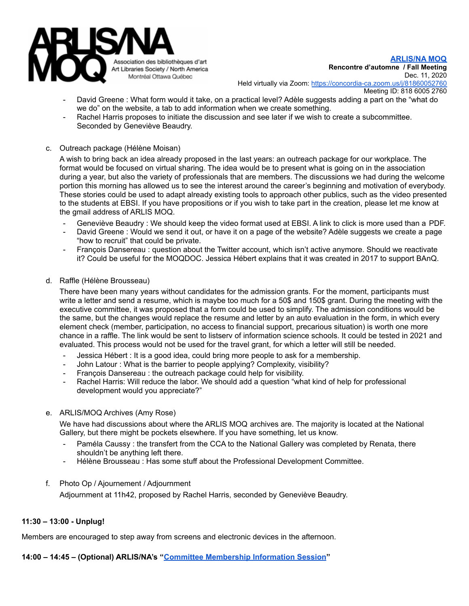

**[ARLIS/NA](http://www.arlismoq.ca) MOQ Rencontre d'automne / Fall Meeting** Dec. 11, 2020

Held virtually via Zoom: <https://concordia-ca.zoom.us/j/81860052760>

- Meeting ID: 818 6005 2760
- David Greene : What form would it take, on a practical level? Adèle suggests adding a part on the "what do we do" on the website, a tab to add information when we create something.
- Rachel Harris proposes to initiate the discussion and see later if we wish to create a subcommittee. Seconded by Geneviève Beaudry.
- c. Outreach package (Hélène Moisan)

A wish to bring back an idea already proposed in the last years: an outreach package for our workplace. The format would be focused on virtual sharing. The idea would be to present what is going on in the association during a year, but also the variety of professionals that are members. The discussions we had during the welcome portion this morning has allowed us to see the interest around the career's beginning and motivation of everybody. These stories could be used to adapt already existing tools to approach other publics, such as the video presented to the students at EBSI. If you have propositions or if you wish to take part in the creation, please let me know at the gmail address of ARLIS MOQ.

- Geneviève Beaudry : We should keep the video format used at EBSI. A link to click is more used than a PDF.
- David Greene : Would we send it out, or have it on a page of the website? Adèle suggests we create a page "how to recruit" that could be private.
- François Dansereau : question about the Twitter account, which isn't active anymore. Should we reactivate it? Could be useful for the MOQDOC. Jessica Hébert explains that it was created in 2017 to support BAnQ.
- d. Raffle (Hélène Brousseau)

There have been many years without candidates for the admission grants. For the moment, participants must write a letter and send a resume, which is maybe too much for a 50\$ and 150\$ grant. During the meeting with the executive committee, it was proposed that a form could be used to simplify. The admission conditions would be the same, but the changes would replace the resume and letter by an auto evaluation in the form, in which every element check (member, participation, no access to financial support, precarious situation) is worth one more chance in a raffle. The link would be sent to listserv of information science schools. It could be tested in 2021 and evaluated. This process would not be used for the travel grant, for which a letter will still be needed.

- Jessica Hébert : It is a good idea, could bring more people to ask for a membership.
- John Latour : What is the barrier to people applying? Complexity, visibility?
- François Dansereau : the outreach package could help for visibility.
- Rachel Harris: Will reduce the labor. We should add a question "what kind of help for professional development would you appreciate?"
- e. ARLIS/MOQ Archives (Amy Rose)

We have had discussions about where the ARLIS MOQ archives are. The majority is located at the National Gallery, but there might be pockets elsewhere. If you have something, let us know.

- Paméla Caussy : the transfert from the CCA to the National Gallery was completed by Renata, there shouldn't be anything left there.
- Hélène Brousseau : Has some stuff about the Professional Development Committee.
- f. Photo Op / Ajournement / Adjournment

Adjournment at 11h42, proposed by Rachel Harris, seconded by Geneviève Beaudry.

## **11:30 – 13:00 - Unplug!**

Members are encouraged to step away from screens and electronic devices in the afternoon.

**14:00 – 14:45 – (Optional) ARLIS/NA's "Committee [Membership](https://zoom.us/meeting/register/tJ0tf-iqrTksGNe4QgcKPrioMVnBmui3KiDW) Information Session"**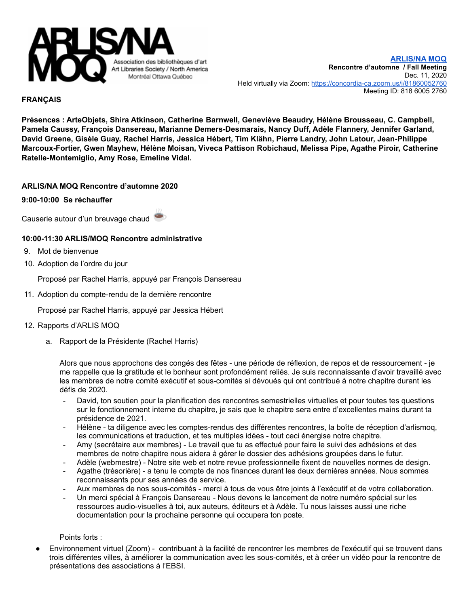

### **FRANÇAIS**

**Présences : ArteObjets, Shira Atkinson, Catherine Barnwell, Geneviève Beaudry, Hélène Brousseau, C. Campbell, Pamela Caussy, François Dansereau, Marianne Demers-Desmarais, Nancy Duff, Adèle Flannery, Jennifer Garland, David Greene, Gisèle Guay, Rachel Harris, Jessica Hébert, Tim Klähn, Pierre Landry, John Latour, Jean-Philippe Marcoux-Fortier, Gwen Mayhew, Hélène Moisan, Viveca Pattison Robichaud, Melissa Pipe, Agathe Piroir, Catherine Ratelle-Montemiglio, Amy Rose, Emeline Vidal.**

### **ARLIS/NA MOQ Rencontre d'automne 2020**

#### **9:00-10:00 Se réchauffer**

Causerie autour d'un breuvage chaud

### **10:00-11:30 ARLIS/MOQ Rencontre administrative**

- 9. Mot de bienvenue
- 10. Adoption de l'ordre du jour

Proposé par Rachel Harris, appuyé par François Dansereau

11. Adoption du compte-rendu de la dernière rencontre

Proposé par Rachel Harris, appuyé par Jessica Hébert

- 12. Rapports d'ARLIS MOQ
	- a. Rapport de la Présidente (Rachel Harris)

Alors que nous approchons des congés des fêtes - une période de réflexion, de repos et de ressourcement - je me rappelle que la gratitude et le bonheur sont profondément reliés. Je suis reconnaissante d'avoir travaillé avec les membres de notre comité exécutif et sous-comités si dévoués qui ont contribué à notre chapitre durant les défis de 2020.

- David, ton soutien pour la planification des rencontres semestrielles virtuelles et pour toutes tes questions sur le fonctionnement interne du chapitre, je sais que le chapitre sera entre d'excellentes mains durant ta présidence de 2021.
- Hélène ta diligence avec les comptes-rendus des différentes rencontres, la boîte de réception d'arlismoq, les communications et traduction, et tes multiples idées - tout ceci énergise notre chapitre.
- Amy (secrétaire aux membres) Le travail que tu as effectué pour faire le suivi des adhésions et des membres de notre chapitre nous aidera à gérer le dossier des adhésions groupées dans le futur.
- Adèle (webmestre) Notre site web et notre revue professionnelle fixent de nouvelles normes de design.
- Agathe (trésorière) a tenu le compte de nos finances durant les deux dernières années. Nous sommes reconnaissants pour ses années de service.
- Aux membres de nos sous-comités merci à tous de vous être joints à l'exécutif et de votre collaboration.
- Un merci spécial à François Dansereau Nous devons le lancement de notre numéro spécial sur les ressources audio-visuelles à toi, aux auteurs, éditeurs et à Adèle. Tu nous laisses aussi une riche documentation pour la prochaine personne qui occupera ton poste.

Points forts :

Environnement virtuel (Zoom) - contribuant à la facilité de rencontrer les membres de l'exécutif qui se trouvent dans trois différentes villes, à améliorer la communication avec les sous-comités, et à créer un vidéo pour la rencontre de présentations des associations à l'EBSI.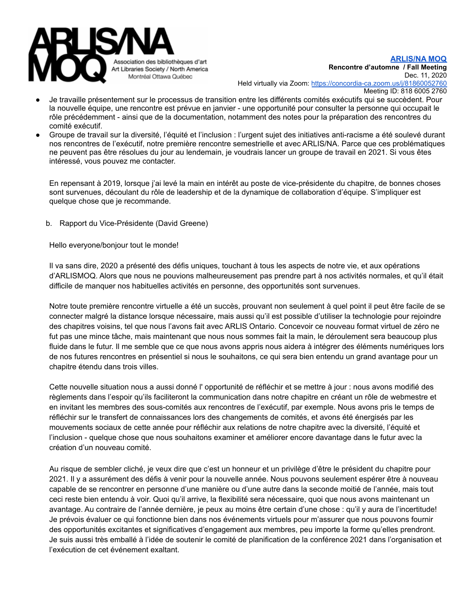

- Je travaille présentement sur le processus de transition entre les différents comités exécutifs qui se succèdent. Pour la nouvelle équipe, une rencontre est prévue en janvier - une opportunité pour consulter la personne qui occupait le rôle précédemment - ainsi que de la documentation, notamment des notes pour la préparation des rencontres du comité exécutif.
- Groupe de travail sur la diversité, l'équité et l'inclusion : l'urgent sujet des initiatives anti-racisme a été soulevé durant nos rencontres de l'exécutif, notre première rencontre semestrielle et avec ARLIS/NA. Parce que ces problématiques ne peuvent pas être résolues du jour au lendemain, je voudrais lancer un groupe de travail en 2021. Si vous êtes intéressé, vous pouvez me contacter.

En repensant à 2019, lorsque j'ai levé la main en intérêt au poste de vice-présidente du chapitre, de bonnes choses sont survenues, découlant du rôle de leadership et de la dynamique de collaboration d'équipe. S'impliquer est quelque chose que je recommande.

b. Rapport du Vice-Présidente (David Greene)

Hello everyone/bonjour tout le monde!

Il va sans dire, 2020 a présenté des défis uniques, touchant à tous les aspects de notre vie, et aux opérations d'ARLISMOQ. Alors que nous ne pouvions malheureusement pas prendre part à nos activités normales, et qu'il était difficile de manquer nos habituelles activités en personne, des opportunités sont survenues.

Notre toute première rencontre virtuelle a été un succès, prouvant non seulement à quel point il peut être facile de se connecter malgré la distance lorsque nécessaire, mais aussi qu'il est possible d'utiliser la technologie pour rejoindre des chapitres voisins, tel que nous l'avons fait avec ARLIS Ontario. Concevoir ce nouveau format virtuel de zéro ne fut pas une mince tâche, mais maintenant que nous nous sommes fait la main, le déroulement sera beaucoup plus fluide dans le futur. Il me semble que ce que nous avons appris nous aidera à intégrer des éléments numériques lors de nos futures rencontres en présentiel si nous le souhaitons, ce qui sera bien entendu un grand avantage pour un chapitre étendu dans trois villes.

Cette nouvelle situation nous a aussi donné l' opportunité de réfléchir et se mettre à jour : nous avons modifié des règlements dans l'espoir qu'ils faciliteront la communication dans notre chapitre en créant un rôle de webmestre et en invitant les membres des sous-comités aux rencontres de l'exécutif, par exemple. Nous avons pris le temps de réfléchir sur le transfert de connaissances lors des changements de comités, et avons été énergisés par les mouvements sociaux de cette année pour réfléchir aux relations de notre chapitre avec la diversité, l'équité et l'inclusion - quelque chose que nous souhaitons examiner et améliorer encore davantage dans le futur avec la création d'un nouveau comité.

Au risque de sembler cliché, je veux dire que c'est un honneur et un privilège d'être le président du chapitre pour 2021. Il y a assurément des défis à venir pour la nouvelle année. Nous pouvons seulement espérer être à nouveau capable de se rencontrer en personne d'une manière ou d'une autre dans la seconde moitié de l'année, mais tout ceci reste bien entendu à voir. Quoi qu'il arrive, la flexibilité sera nécessaire, quoi que nous avons maintenant un avantage. Au contraire de l'année dernière, je peux au moins être certain d'une chose : qu'il y aura de l'incertitude! Je prévois évaluer ce qui fonctionne bien dans nos événements virtuels pour m'assurer que nous pouvons fournir des opportunités excitantes et significatives d'engagement aux membres, peu importe la forme qu'elles prendront. Je suis aussi très emballé à l'idée de soutenir le comité de planification de la conférence 2021 dans l'organisation et l'exécution de cet événement exaltant.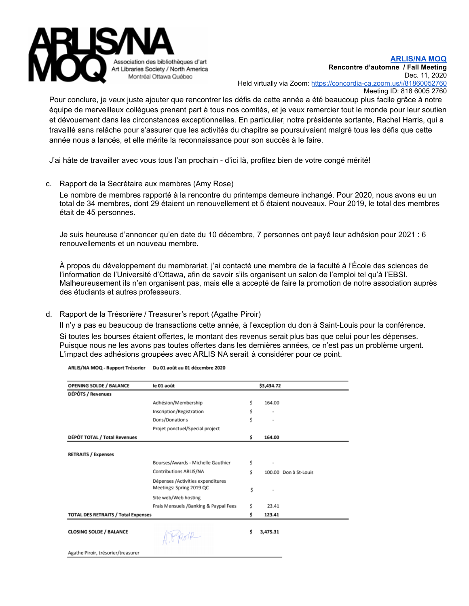

Pour conclure, je veux juste ajouter que rencontrer les défis de cette année a été beaucoup plus facile grâce à notre équipe de merveilleux collègues prenant part à tous nos comités, et je veux remercier tout le monde pour leur soutien et dévouement dans les circonstances exceptionnelles. En particulier, notre présidente sortante, Rachel Harris, qui a travaillé sans relâche pour s'assurer que les activités du chapitre se poursuivaient malgré tous les défis que cette année nous a lancés, et elle mérite la reconnaissance pour son succès à le faire.

J'ai hâte de travailler avec vous tous l'an prochain - d'ici là, profitez bien de votre congé mérité!

c. Rapport de la Secrétaire aux membres (Amy Rose)

Le nombre de membres rapporté à la rencontre du printemps demeure inchangé. Pour 2020, nous avons eu un total de 34 membres, dont 29 étaient un renouvellement et 5 étaient nouveaux. Pour 2019, le total des membres était de 45 personnes.

Je suis heureuse d'annoncer qu'en date du 10 décembre, 7 personnes ont payé leur adhésion pour 2021 : 6 renouvellements et un nouveau membre.

À propos du développement du membrariat, j'ai contacté une membre de la faculté à l'École des sciences de l'information de l'Université d'Ottawa, afin de savoir s'ils organisent un salon de l'emploi tel qu'à l'EBSI. Malheureusement ils n'en organisent pas, mais elle a accepté de faire la promotion de notre association auprès des étudiants et autres professeurs.

d. Rapport de la Trésorière / Treasurer's report (Agathe Piroir)

Il n'y a pas eu beaucoup de transactions cette année, à l'exception du don à Saint-Louis pour la conférence.

Si toutes les bourses étaient offertes, le montant des revenus serait plus bas que celui pour les dépenses. Puisque nous ne les avons pas toutes offertes dans les dernières années, ce n'est pas un problème urgent. L'impact des adhésions groupées avec ARLIS NA serait à considérer pour ce point.

| <b>OPENING SOLDE / BALANCE</b>             | le 01 août                            |    | \$3,434.72               |                       |
|--------------------------------------------|---------------------------------------|----|--------------------------|-----------------------|
| DÉPÔTS / Revenues                          |                                       |    |                          |                       |
|                                            | Adhésion/Membership                   | Ś. | 164.00                   |                       |
|                                            | Inscription/Registration              | \$ |                          |                       |
|                                            | Dons/Donations                        | Ś  | $\overline{\phantom{a}}$ |                       |
|                                            | Projet ponctuel/Special project       |    |                          |                       |
| DÉPÔT TOTAL / Total Revenues               |                                       | \$ | 164.00                   |                       |
|                                            |                                       |    |                          |                       |
| <b>RETRAITS / Expenses</b>                 |                                       |    |                          |                       |
|                                            | Bourses/Awards - Michelle Gauthier    | \$ |                          |                       |
|                                            | Contributions ARLIS/NA                | Ś  |                          | 100.00 Don à St-Louis |
|                                            | Dépenses /Activities expenditures     |    |                          |                       |
|                                            | Meetings: Spring 2019 QC              | \$ |                          |                       |
|                                            | Site web/Web hosting                  |    |                          |                       |
|                                            | Frais Mensuels /Banking & Paypal Fees | Ś. | 23.41                    |                       |
| <b>TOTAL DES RETRAITS / Total Expenses</b> |                                       | \$ | 123.41                   |                       |
|                                            |                                       |    |                          |                       |
| <b>CLOSING SOLDE / BALANCE</b>             | Pripoir                               | \$ | 3,475.31                 |                       |
|                                            |                                       |    |                          |                       |
| Agathe Piroir, trésorier/treasurer         |                                       |    |                          |                       |

ARLIS/NA MOQ - Rapport Trésorier Du 01 août au 01 décembre 2020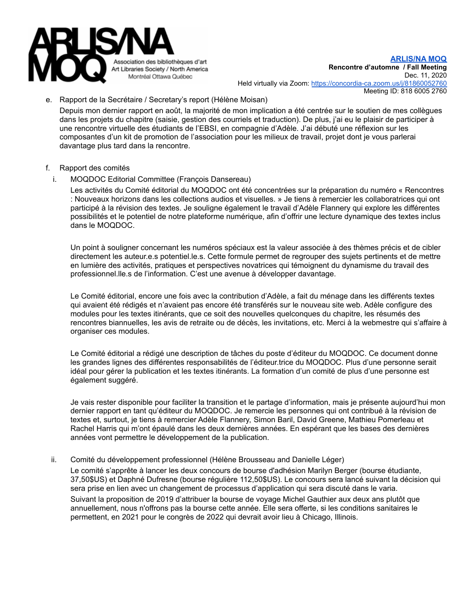

e. Rapport de la Secrétaire / Secretary's report (Hélène Moisan)

Depuis mon dernier rapport en août, la majorité de mon implication a été centrée sur le soutien de mes collègues dans les projets du chapitre (saisie, gestion des courriels et traduction). De plus, j'ai eu le plaisir de participer à une rencontre virtuelle des étudiants de l'EBSI, en compagnie d'Adèle. J'ai débuté une réflexion sur les composantes d'un kit de promotion de l'association pour les milieux de travail, projet dont je vous parlerai davantage plus tard dans la rencontre.

- f. Rapport des comités
- i. MOQDOC Editorial Committee (François Dansereau)

Les activités du Comité éditorial du MOQDOC ont été concentrées sur la préparation du numéro « Rencontres : Nouveaux horizons dans les collections audios et visuelles. » Je tiens à remercier les collaboratrices qui ont participé à la révision des textes. Je souligne également le travail d'Adèle Flannery qui explore les différentes possibilités et le potentiel de notre plateforme numérique, afin d'offrir une lecture dynamique des textes inclus dans le MOQDOC.

Un point à souligner concernant les numéros spéciaux est la valeur associée à des thèmes précis et de cibler directement les auteur.e.s potentiel.le.s. Cette formule permet de regrouper des sujets pertinents et de mettre en lumière des activités, pratiques et perspectives novatrices qui témoignent du dynamisme du travail des professionnel.lle.s de l'information. C'est une avenue à développer davantage.

Le Comité éditorial, encore une fois avec la contribution d'Adèle, a fait du ménage dans les différents textes qui avaient été rédigés et n'avaient pas encore été transférés sur le nouveau site web. Adèle configure des modules pour les textes itinérants, que ce soit des nouvelles quelconques du chapitre, les résumés des rencontres biannuelles, les avis de retraite ou de décès, les invitations, etc. Merci à la webmestre qui s'affaire à organiser ces modules.

Le Comité éditorial a rédigé une description de tâches du poste d'éditeur du MOQDOC. Ce document donne les grandes lignes des différentes responsabilités de l'éditeur.trice du MOQDOC. Plus d'une personne serait idéal pour gérer la publication et les textes itinérants. La formation d'un comité de plus d'une personne est également suggéré.

Je vais rester disponible pour faciliter la transition et le partage d'information, mais je présente aujourd'hui mon dernier rapport en tant qu'éditeur du MOQDOC. Je remercie les personnes qui ont contribué à la révision de textes et, surtout, je tiens à remercier Adèle Flannery, Simon Baril, David Greene, Mathieu Pomerleau et Rachel Harris qui m'ont épaulé dans les deux dernières années. En espérant que les bases des dernières années vont permettre le développement de la publication.

ii. Comité du développement professionnel (Hélène Brousseau and Danielle Léger)

Le comité s'apprête à lancer les deux concours de bourse d'adhésion Marilyn Berger (bourse étudiante, 37,50\$US) et Daphné Dufresne (bourse régulière 112,50\$US). Le concours sera lancé suivant la décision qui sera prise en lien avec un changement de processus d'application qui sera discuté dans le varia. Suivant la proposition de 2019 d'attribuer la bourse de voyage Michel Gauthier aux deux ans plutôt que annuellement, nous n'offrons pas la bourse cette année. Elle sera offerte, si les conditions sanitaires le permettent, en 2021 pour le congrès de 2022 qui devrait avoir lieu à Chicago, Illinois.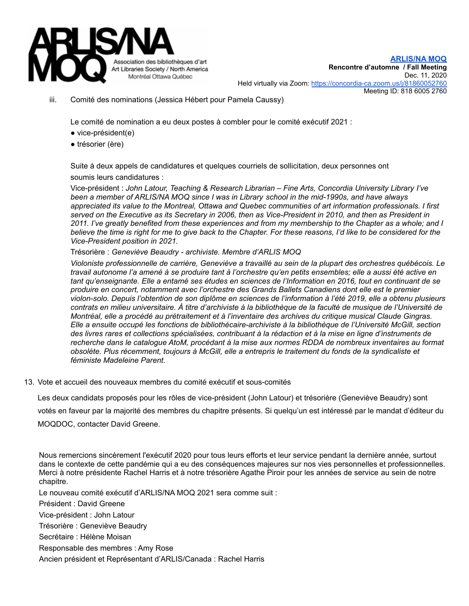

iii. Comité des nominations (Jessica Hébert pour Pamela Caussy)

Le comité de nomination a eu deux postes à combler pour le comité exécutif 2021 :

- vice-président(e)
- trésorier (ère)

Suite à deux appels de candidatures et quelques courriels de sollicitation, deux personnes ont soumis leurs candidatures :

Vice-président : *John Latour, Teaching & Research Librarian – Fine Arts, Concordia University Library I've been a member of ARLIS/NA MOQ since I was in Library school in the mid-1990s, and have always appreciated its value to the Montreal, Ottawa and Quebec communities of art information professionals. I first* served on the Executive as its Secretary in 2006, then as Vice-President in 2010, and then as President in 2011. I've greatly benefited from these experiences and from my membership to the Chapter as a whole; and I believe the time is right for me to give back to the Chapter. For these reasons, I'd like to be considered for the *Vice-President position in 2021.*

Trésorière : *Geneviève Beaudry - archiviste. Membre d'ARLIS MOQ*

*Violoniste professionnelle de carrière, Geneviève a travaillé au sein de la plupart des orchestres québécois. Le* travail autonome l'a amené à se produire tant à l'orchestre qu'en petits ensembles; elle a aussi été active en tant qu'enseignante. Elle a entamé ses études en sciences de l'Information en 2016, tout en continuant de se *produire en concert, notamment avec l'orchestre des Grands Ballets Canadiens dont elle est le premier* violon-solo. Depuis l'obtention de son diplôme en sciences de l'information à l'été 2019, elle a obtenu plusieurs contrats en milieu universitaire. À titre d'archiviste à la bibliothèque de la faculté de musique de l'Université de *Montréal, elle a procédé au prétraitement et à l'inventaire des archives du critique musical Claude Gingras. Elle a ensuite occupé les fonctions de bibliothécaire-archiviste à la bibliothèque de l'Université McGill, section* des livres rares et collections spécialisées, contribuant à la rédaction et à la mise en ligne d'instruments de *recherche dans le catalogue AtoM, procédant à la mise aux normes RDDA de nombreux inventaires au format* obsolète. Plus récemment, toujours à McGill, elle a entrepris le traitement du fonds de la syndicaliste et *féministe Madeleine Parent.*

13. Vote et accueil des nouveaux membres du comité exécutif et sous-comités

Les deux candidats proposés pour les rôles de vice-président (John Latour) et trésorière (Geneviève Beaudry) sont

votés en faveur par la majorité des membres du chapitre présents. Si quelqu'un est intéressé par le mandat d'éditeur du

MOQDOC, contacter David Greene.

Nous remercions sincèrement l'exécutif 2020 pour tous leurs efforts et leur service pendant la dernière année, surtout dans le contexte de cette pandémie qui a eu des conséquences majeures sur nos vies personnelles et professionnelles. Merci à notre présidente Rachel Harris et à notre trésorière Agathe Piroir pour les années de service au sein de notre chapitre.

Le nouveau comité exécutif d'ARLIS/NA MOQ 2021 sera comme suit :

Président : David Greene

Vice-président : John Latour

Trésorière : Geneviève Beaudry

Secrétaire : Hélène Moisan

Responsable des membres : Amy Rose

Ancien président et Représentant d'ARLIS/Canada : Rachel Harris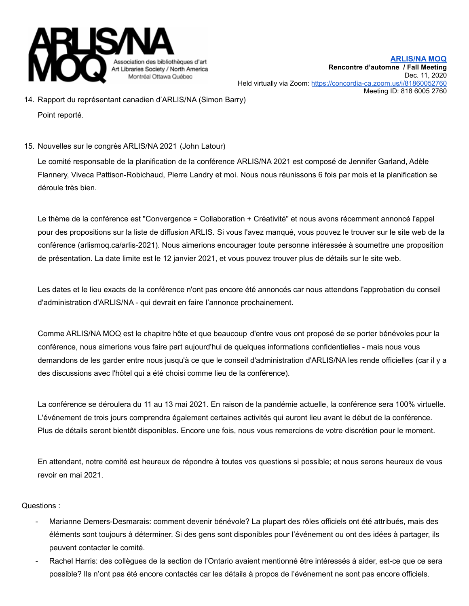

- 14. Rapport du représentant canadien d'ARLIS/NA (Simon Barry) Point reporté.
- 15. Nouvelles sur le congrès ARLIS/NA 2021 (John Latour)

Le comité responsable de la planification de la conférence ARLIS/NA 2021 est composé de Jennifer Garland, Adèle Flannery, Viveca Pattison-Robichaud, Pierre Landry et moi. Nous nous réunissons 6 fois par mois et la planification se déroule très bien.

Le thème de la conférence est "Convergence = Collaboration + Créativité" et nous avons récemment annoncé l'appel pour des propositions sur la liste de diffusion ARLIS. Si vous l'avez manqué, vous pouvez le trouver sur le site web de la conférence (arlismoq.ca/arlis-2021). Nous aimerions encourager toute personne intéressée à soumettre une proposition de présentation. La date limite est le 12 janvier 2021, et vous pouvez trouver plus de détails sur le site web.

Les dates et le lieu exacts de la conférence n'ont pas encore été annoncés car nous attendons l'approbation du conseil d'administration d'ARLIS/NA - qui devrait en faire l'annonce prochainement.

Comme ARLIS/NA MOQ est le chapitre hôte et que beaucoup d'entre vous ont proposé de se porter bénévoles pour la conférence, nous aimerions vous faire part aujourd'hui de quelques informations confidentielles - mais nous vous demandons de les garder entre nous jusqu'à ce que le conseil d'administration d'ARLIS/NA les rende officielles (car il y a des discussions avec l'hôtel qui a été choisi comme lieu de la conférence).

La conférence se déroulera du 11 au 13 mai 2021. En raison de la pandémie actuelle, la conférence sera 100% virtuelle. L'événement de trois jours comprendra également certaines activités qui auront lieu avant le début de la conférence. Plus de détails seront bientôt disponibles. Encore une fois, nous vous remercions de votre discrétion pour le moment.

En attendant, notre comité est heureux de répondre à toutes vos questions si possible; et nous serons heureux de vous revoir en mai 2021.

## Questions :

- Marianne Demers-Desmarais: comment devenir bénévole? La plupart des rôles officiels ont été attribués, mais des éléments sont toujours à déterminer. Si des gens sont disponibles pour l'événement ou ont des idées à partager, ils peuvent contacter le comité.
- Rachel Harris: des collègues de la section de l'Ontario avaient mentionné être intéressés à aider, est-ce que ce sera possible? Ils n'ont pas été encore contactés car les détails à propos de l'événement ne sont pas encore officiels.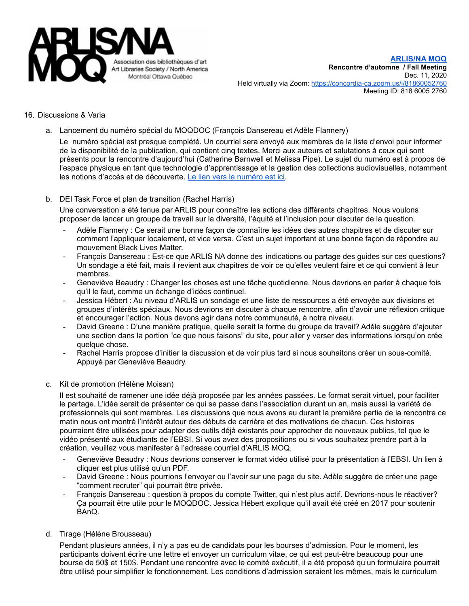

#### 16. Discussions & Varia

a. Lancement du numéro spécial du MOQDOC (François Dansereau et Adèle Flannery)

Le numéro spécial est presque complété. Un courriel sera envoyé aux membres de la liste d'envoi pour informer de la disponibilité de la publication, qui contient cinq textes. Merci aux auteurs et salutations à ceux qui sont présents pour la rencontre d'aujourd'hui (Catherine Barnwell et Melissa Pipe). Le sujet du numéro est à propos de l'espace physique en tant que technologie d'apprentissage et la gestion des collections audiovisuelles, notamment les notions d'accès et de découverte. Le lien vers le [numéro](http://moqdoc.arlismoq.ca/2020_encounters_rencontres/) est ici.

b. DEI Task Force et plan de transition (Rachel Harris)

Une conversation a été tenue par ARLIS pour connaître les actions des différents chapitres. Nous voulons proposer de lancer un groupe de travail sur la diversité, l'équité et l'inclusion pour discuter de la question.

- Adèle Flannery : Ce serait une bonne façon de connaître les idées des autres chapitres et de discuter sur comment l'appliquer localement, et vice versa. C'est un sujet important et une bonne façon de répondre au mouvement Black Lives Matter.
- François Dansereau : Est-ce que ARLIS NA donne des indications ou partage des guides sur ces questions? Un sondage a été fait, mais il revient aux chapitres de voir ce qu'elles veulent faire et ce qui convient à leur membres.
- Geneviève Beaudry : Changer les choses est une tâche quotidienne. Nous devrions en parler à chaque fois qu'il le faut, comme un échange d'idées continuel.
- Jessica Hébert : Au niveau d'ARLIS un sondage et une liste de ressources a été envoyée aux divisions et groupes d'intérêts spéciaux. Nous devrions en discuter à chaque rencontre, afin d'avoir une réflexion critique et encourager l'action. Nous devons agir dans notre communauté, à notre niveau.
- David Greene : D'une manière pratique, quelle serait la forme du groupe de travail? Adèle suggère d'ajouter une section dans la portion "ce que nous faisons" du site, pour aller y verser des informations lorsqu'on crée quelque chose.
- Rachel Harris propose d'initier la discussion et de voir plus tard si nous souhaitons créer un sous-comité. Appuyé par Geneviève Beaudry.
- c. Kit de promotion (Hélène Moisan)

Il est souhaité de ramener une idée déjà proposée par les années passées. Le format serait virtuel, pour faciliter le partage. L'idée serait de présenter ce qui se passe dans l'association durant un an, mais aussi la variété de professionnels qui sont membres. Les discussions que nous avons eu durant la première partie de la rencontre ce matin nous ont montré l'intérêt autour des débuts de carrière et des motivations de chacun. Ces histoires pourraient être utilisées pour adapter des outils déjà existants pour approcher de nouveaux publics, tel que le vidéo présenté aux étudiants de l'EBSI. Si vous avez des propositions ou si vous souhaitez prendre part à la création, veuillez vous manifester à l'adresse courriel d'ARLIS MOQ.

- Geneviève Beaudry : Nous devrions conserver le format vidéo utilisé pour la présentation à l'EBSI. Un lien à cliquer est plus utilisé qu'un PDF.
- David Greene : Nous pourrions l'envoyer ou l'avoir sur une page du site. Adèle suggère de créer une page "comment recruter" qui pourrait être privée.
- François Dansereau : question à propos du compte Twitter, qui n'est plus actif. Devrions-nous le réactiver? Ça pourrait être utile pour le MOQDOC. Jessica Hébert explique qu'il avait été créé en 2017 pour soutenir BAnQ.
- d. Tirage (Hélène Brousseau)

Pendant plusieurs années, il n'y a pas eu de candidats pour les bourses d'admission. Pour le moment, les participants doivent écrire une lettre et envoyer un curriculum vitae, ce qui est peut-être beaucoup pour une bourse de 50\$ et 150\$. Pendant une rencontre avec le comité exécutif, il a été proposé qu'un formulaire pourrait être utilisé pour simplifier le fonctionnement. Les conditions d'admission seraient les mêmes, mais le curriculum